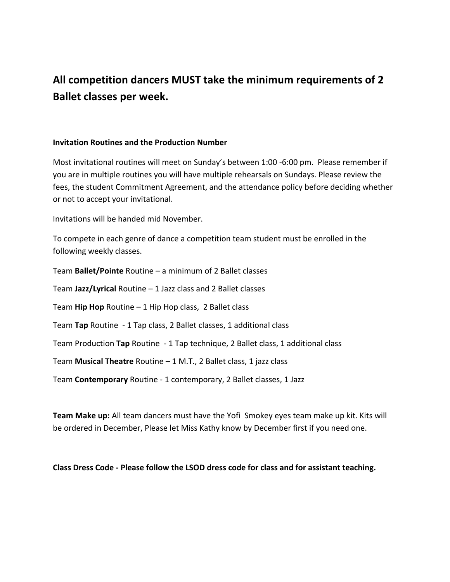## **All competition dancers MUST take the minimum requirements of 2 Ballet classes per week.**

## **Invitation Routines and the Production Number**

Most invitational routines will meet on Sunday's between 1:00 -6:00 pm. Please remember if you are in multiple routines you will have multiple rehearsals on Sundays. Please review the fees, the student Commitment Agreement, and the attendance policy before deciding whether or not to accept your invitational.

Invitations will be handed mid November.

To compete in each genre of dance a competition team student must be enrolled in the following weekly classes.

Team **Ballet/Pointe** Routine – a minimum of 2 Ballet classes Team **Jazz/Lyrical** Routine – 1 Jazz class and 2 Ballet classes Team **Hip Hop** Routine – 1 Hip Hop class, 2 Ballet class Team **Tap** Routine - 1 Tap class, 2 Ballet classes, 1 additional class Team Production **Tap** Routine - 1 Tap technique, 2 Ballet class, 1 additional class Team **Musical Theatre** Routine – 1 M.T., 2 Ballet class, 1 jazz class Team **Contemporary** Routine - 1 contemporary, 2 Ballet classes, 1 Jazz

**Team Make up:** All team dancers must have the Yofi Smokey eyes team make up kit. Kits will be ordered in December, Please let Miss Kathy know by December first if you need one.

## **Class Dress Code - Please follow the LSOD dress code for class and for assistant teaching.**